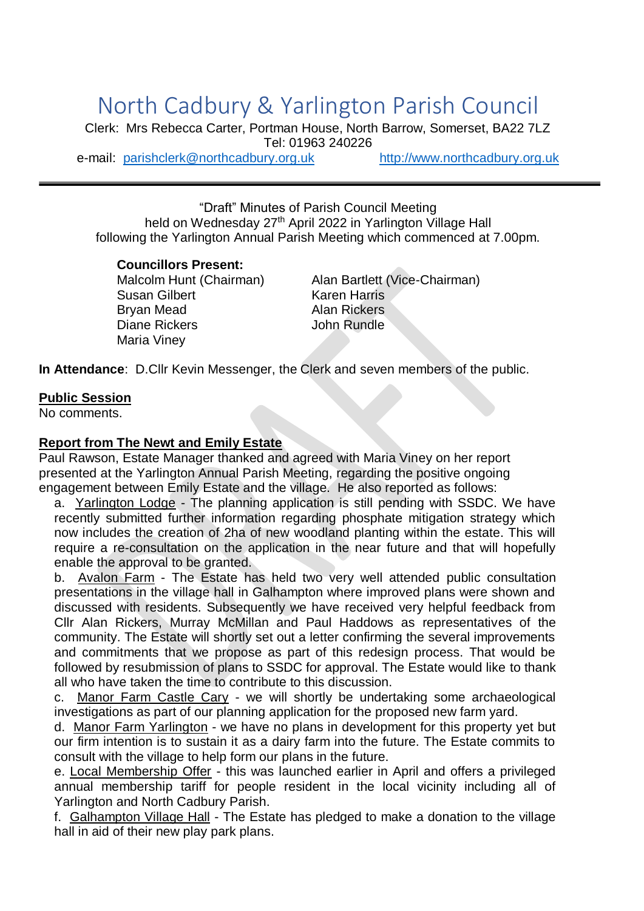# North Cadbury & Yarlington Parish Council

Clerk: Mrs Rebecca Carter, Portman House, North Barrow, Somerset, BA22 7LZ Tel: 01963 240226 e-mail: [parishclerk@northcadbury.org.uk](mailto:parishclerk@northcadbury.org.uk) [http://www.northcadbury.org.uk](http://www.northcadbury.org.uk/)

"Draft" Minutes of Parish Council Meeting held on Wednesday 27<sup>th</sup> April 2022 in Yarlington Village Hall following the Yarlington Annual Parish Meeting which commenced at 7.00pm.

#### **Councillors Present:**

Susan Gilbert Karen Harris Brvan Mead **Alan Rickers** Diane Rickers **John Rundle** Maria Viney

Malcolm Hunt (Chairman) Alan Bartlett (Vice-Chairman)

**In Attendance**: D.Cllr Kevin Messenger, the Clerk and seven members of the public.

#### **Public Session**

No comments.

#### **Report from The Newt and Emily Estate**

Paul Rawson, Estate Manager thanked and agreed with Maria Viney on her report presented at the Yarlington Annual Parish Meeting, regarding the positive ongoing engagement between Emily Estate and the village. He also reported as follows:

a. Yarlington Lodge - The planning application is still pending with SSDC. We have recently submitted further information regarding phosphate mitigation strategy which now includes the creation of 2ha of new woodland planting within the estate. This will require a re-consultation on the application in the near future and that will hopefully enable the approval to be granted.

b. Avalon Farm - The Estate has held two very well attended public consultation presentations in the village hall in Galhampton where improved plans were shown and discussed with residents. Subsequently we have received very helpful feedback from Cllr Alan Rickers, Murray McMillan and Paul Haddows as representatives of the community. The Estate will shortly set out a letter confirming the several improvements and commitments that we propose as part of this redesign process. That would be followed by resubmission of plans to SSDC for approval. The Estate would like to thank all who have taken the time to contribute to this discussion.

c. Manor Farm Castle Cary - we will shortly be undertaking some archaeological investigations as part of our planning application for the proposed new farm yard.

d. Manor Farm Yarlington - we have no plans in development for this property yet but our firm intention is to sustain it as a dairy farm into the future. The Estate commits to consult with the village to help form our plans in the future.

e. Local Membership Offer - this was launched earlier in April and offers a privileged annual membership tariff for people resident in the local vicinity including all of Yarlington and North Cadbury Parish.

f. Galhampton Village Hall - The Estate has pledged to make a donation to the village hall in aid of their new play park plans.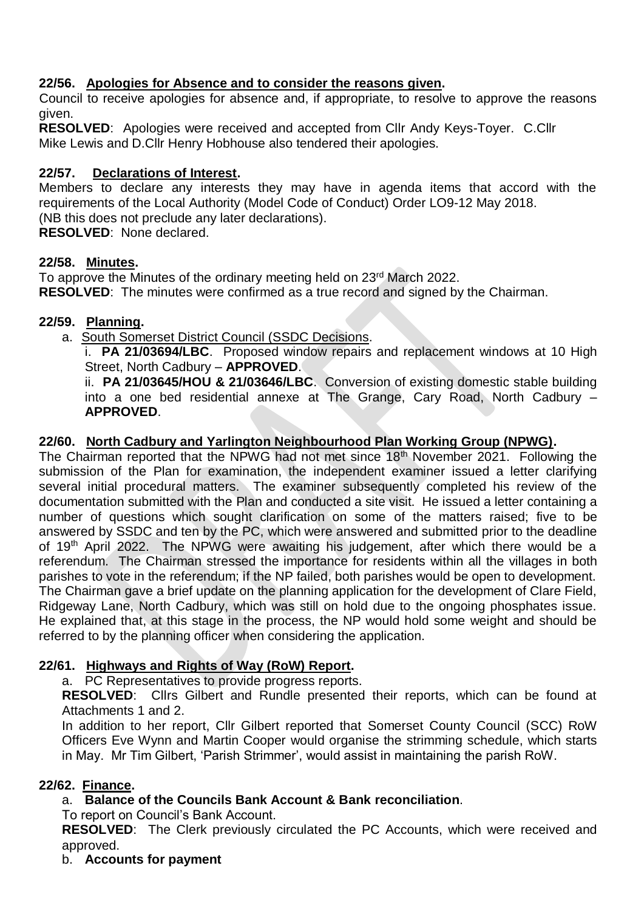## **22/56. Apologies for Absence and to consider the reasons given.**

Council to receive apologies for absence and, if appropriate, to resolve to approve the reasons given.

**RESOLVED**: Apologies were received and accepted from Cllr Andy Keys-Toyer. C.Cllr Mike Lewis and D.Cllr Henry Hobhouse also tendered their apologies.

## **22/57. Declarations of Interest.**

Members to declare any interests they may have in agenda items that accord with the requirements of the Local Authority (Model Code of Conduct) Order LO9-12 May 2018. (NB this does not preclude any later declarations).

**RESOLVED**: None declared.

### **22/58. Minutes.**

To approve the Minutes of the ordinary meeting held on 23<sup>rd</sup> March 2022. **RESOLVED**: The minutes were confirmed as a true record and signed by the Chairman.

# **22/59. Planning.**

a. South Somerset District Council (SSDC Decisions.

i. **PA 21/03694/LBC**. Proposed window repairs and replacement windows at 10 High Street, North Cadbury – **APPROVED**.

ii. **PA 21/03645/HOU & 21/03646/LBC**. Conversion of existing domestic stable building into a one bed residential annexe at The Grange, Cary Road, North Cadbury – **APPROVED**.

# **22/60. North Cadbury and Yarlington Neighbourhood Plan Working Group (NPWG).**

The Chairman reported that the NPWG had not met since 18<sup>th</sup> November 2021. Following the submission of the Plan for examination, the independent examiner issued a letter clarifying several initial procedural matters. The examiner subsequently completed his review of the documentation submitted with the Plan and conducted a site visit. He issued a letter containing a number of questions which sought clarification on some of the matters raised; five to be answered by SSDC and ten by the PC, which were answered and submitted prior to the deadline of 19<sup>th</sup> April 2022. The NPWG were awaiting his judgement, after which there would be a referendum. The Chairman stressed the importance for residents within all the villages in both parishes to vote in the referendum; if the NP failed, both parishes would be open to development. The Chairman gave a brief update on the planning application for the development of Clare Field, Ridgeway Lane, North Cadbury, which was still on hold due to the ongoing phosphates issue. He explained that, at this stage in the process, the NP would hold some weight and should be referred to by the planning officer when considering the application.

# **22/61. Highways and Rights of Way (RoW) Report.**

a. PC Representatives to provide progress reports.

**RESOLVED**: Cllrs Gilbert and Rundle presented their reports, which can be found at Attachments 1 and 2.

In addition to her report, Cllr Gilbert reported that Somerset County Council (SCC) RoW Officers Eve Wynn and Martin Cooper would organise the strimming schedule, which starts in May. Mr Tim Gilbert, 'Parish Strimmer', would assist in maintaining the parish RoW.

### **22/62. Finance.**

# a. **Balance of the Councils Bank Account & Bank reconciliation**.

To report on Council's Bank Account.

**RESOLVED**: The Clerk previously circulated the PC Accounts, which were received and approved.

### b. **Accounts for payment**